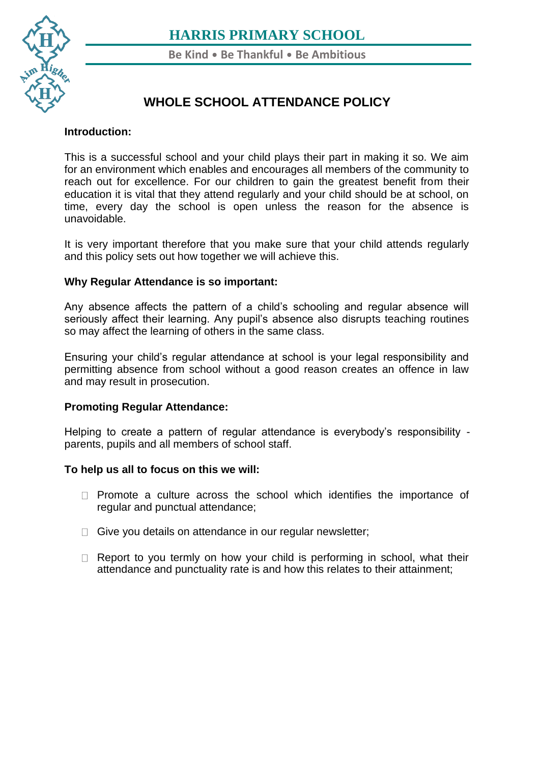

**Be Kind** • **Be Thankful** • **Be Ambitious**

## **WHOLE SCHOOL ATTENDANCE POLICY**

#### **[Intr](https://www.harris.lancs.sch.uk/contact-details/)oduction:**

This is a successful school and your child plays their part in making it so. We aim for an environment which enables and encourages all members of the community to reach out for excellence. For our children to gain the greatest benefit from their education it is vital that they attend regularly and your child should be at school, on time, every day the school is open unless the reason for the absence is unavoidable.

It is very important therefore that you make sure that your child attends regularly and this policy sets out how together we will achieve this.

### **Why Regular Attendance is so important:**

Any absence affects the pattern of a child's schooling and regular absence will seriously affect their learning. Any pupil's absence also disrupts teaching routines so may affect the learning of others in the same class.

Ensuring your child's regular attendance at school is your legal responsibility and permitting absence from school without a good reason creates an offence in law and may result in prosecution.

### **Promoting Regular Attendance:**

Helping to create a pattern of regular attendance is everybody's responsibility parents, pupils and all members of school staff.

### **To help us all to focus on this we will:**

- $\Box$  Promote a culture across the school which identifies the importance of regular and punctual attendance;
- $\Box$  Give you details on attendance in our regular newsletter;
- $\Box$  Report to you termly on how your child is performing in school, what their attendance and punctuality rate is and how this relates to their attainment;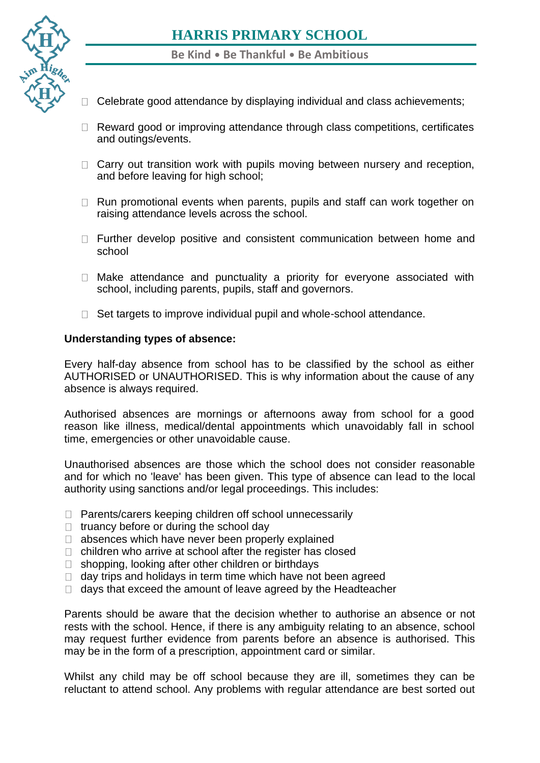

**Be Kind** • **Be Thankful** • **Be Ambitious**

- $\Box$  Celebrate good attendance by displaying individual and class achievements;
- $\Box$  Reward good or improving attendance through class competitions, certificates and outings/events.
- $\Box$  Carry out transition work with pupils moving between nursery and reception, and before leaving for high school;
- $\Box$  Run promotional events when parents, pupils and staff can work together on raising attendance levels across the school.
- $\Box$  Further develop positive and consistent communication between home and school
- $\Box$  Make attendance and punctuality a priority for everyone associated with school, including parents, pupils, staff and governors.
- $\Box$  Set targets to improve individual pupil and whole-school attendance.

#### **Understanding types of absence:**

Every half-day absence from school has to be classified by the school as either AUTHORISED or UNAUTHORISED. This is why information about the cause of any absence is always required.

Authorised absences are mornings or afternoons away from school for a good reason like illness, medical/dental appointments which unavoidably fall in school time, emergencies or other unavoidable cause.

Unauthorised absences are those which the school does not consider reasonable and for which no 'leave' has been given. This type of absence can lead to the local authority using sanctions and/or legal proceedings. This includes:

- $\Box$  Parents/carers keeping children off school unnecessarily
- $\Box$  truancy before or during the school day
- $\Box$  absences which have never been properly explained
- $\Box$  children who arrive at school after the register has closed
- $\Box$  shopping, looking after other children or birthdays
- $\Box$  day trips and holidays in term time which have not been agreed
- $\Box$  days that exceed the amount of leave agreed by the Headteacher

Parents should be aware that the decision whether to authorise an absence or not rests with the school. Hence, if there is any ambiguity relating to an absence, school may request further evidence from parents before an absence is authorised. This may be in the form of a prescription, appointment card or similar.

Whilst any child may be off school because they are ill, sometimes they can be reluctant to attend school. Any problems with regular attendance are best sorted out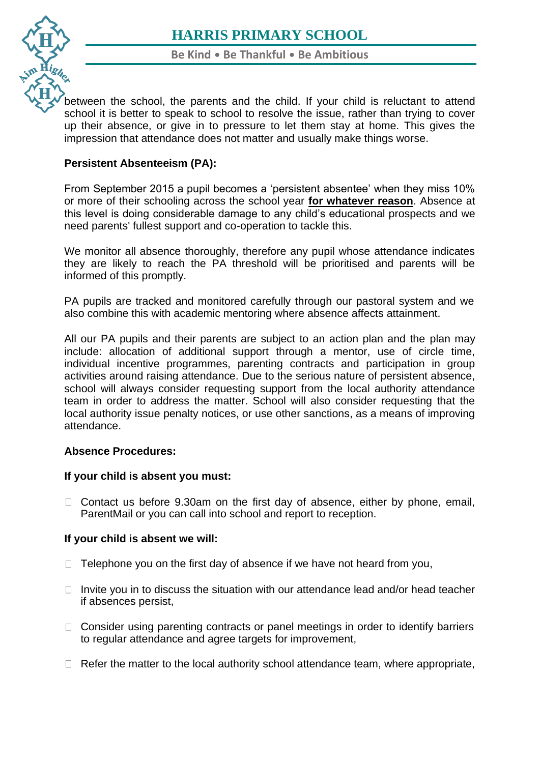

[betw](https://www.harris.lancs.sch.uk/)een the school, the parents and the child. If your child is reluctant to attend school it is better to speak to school to resolve the issue, rather than trying to cover up their absence, or give in to pressure to let them stay at home. This gives the [imp](https://www.harris.lancs.sch.uk/contact-details/)ression that attendance does not matter and usually make things worse.

## **Persistent Absenteeism (PA):**

From September 2015 a pupil becomes a 'persistent absentee' when they miss 10% or more of their schooling across the school year **for whatever reason**. Absence at this level is doing considerable damage to any child's educational prospects and we need parents' fullest support and co-operation to tackle this.

We monitor all absence thoroughly, therefore any pupil whose attendance indicates they are likely to reach the PA threshold will be prioritised and parents will be informed of this promptly.

PA pupils are tracked and monitored carefully through our pastoral system and we also combine this with academic mentoring where absence affects attainment.

All our PA pupils and their parents are subject to an action plan and the plan may include: allocation of additional support through a mentor, use of circle time, individual incentive programmes, parenting contracts and participation in group activities around raising attendance. Due to the serious nature of persistent absence, school will always consider requesting support from the local authority attendance team in order to address the matter. School will also consider requesting that the local authority issue penalty notices, or use other sanctions, as a means of improving attendance.

### **Absence Procedures:**

### **If your child is absent you must:**

 $\Box$  Contact us before 9.30am on the first day of absence, either by phone, email, ParentMail or you can call into school and report to reception.

### **If your child is absent we will:**

- $\Box$  Telephone you on the first day of absence if we have not heard from you,
- $\Box$  Invite you in to discuss the situation with our attendance lead and/or head teacher if absences persist,
- $\Box$  Consider using parenting contracts or panel meetings in order to identify barriers to regular attendance and agree targets for improvement,
- $\Box$  Refer the matter to the local authority school attendance team, where appropriate,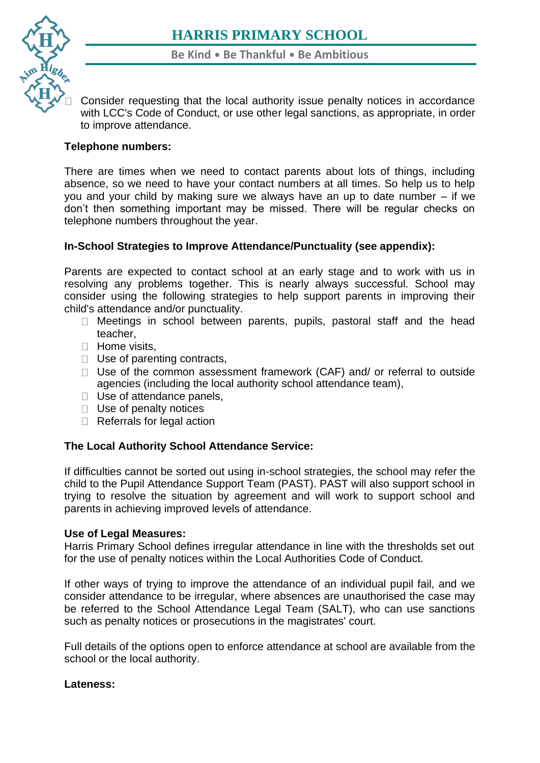

Consider requesting that the local authority issue penalty notices in accordance with LCC's Code of Conduct, or use other legal sanctions, as appropriate, in order [t](https://www.harris.lancs.sch.uk/contact-details/)o improve attendance.

## **Telephone numbers:**

There are times when we need to contact parents about lots of things, including absence, so we need to have your contact numbers at all times. So help us to help you and your child by making sure we always have an up to date number – if we don't then something important may be missed. There will be regular checks on telephone numbers throughout the year.

## **In-School Strategies to Improve Attendance/Punctuality (see appendix):**

Parents are expected to contact school at an early stage and to work with us in resolving any problems together. This is nearly always successful. School may consider using the following strategies to help support parents in improving their child's attendance and/or punctuality.

- □ Meetings in school between parents, pupils, pastoral staff and the head teacher,
- **Home visits,**
- $\Box$  Use of parenting contracts,
- $\Box$  Use of the common assessment framework (CAF) and/ or referral to outside agencies (including the local authority school attendance team),
- □ Use of attendance panels,
- $\Box$  Use of penalty notices
- Referrals for legal action

## **The Local Authority School Attendance Service:**

If difficulties cannot be sorted out using in-school strategies, the school may refer the child to the Pupil Attendance Support Team (PAST). PAST will also support school in trying to resolve the situation by agreement and will work to support school and parents in achieving improved levels of attendance.

### **Use of Legal Measures:**

Harris Primary School defines irregular attendance in line with the thresholds set out for the use of penalty notices within the Local Authorities Code of Conduct.

If other ways of trying to improve the attendance of an individual pupil fail, and we consider attendance to be irregular, where absences are unauthorised the case may be referred to the School Attendance Legal Team (SALT), who can use sanctions such as penalty notices or prosecutions in the magistrates' court.

Full details of the options open to enforce attendance at school are available from the school or the local authority.

### **Lateness:**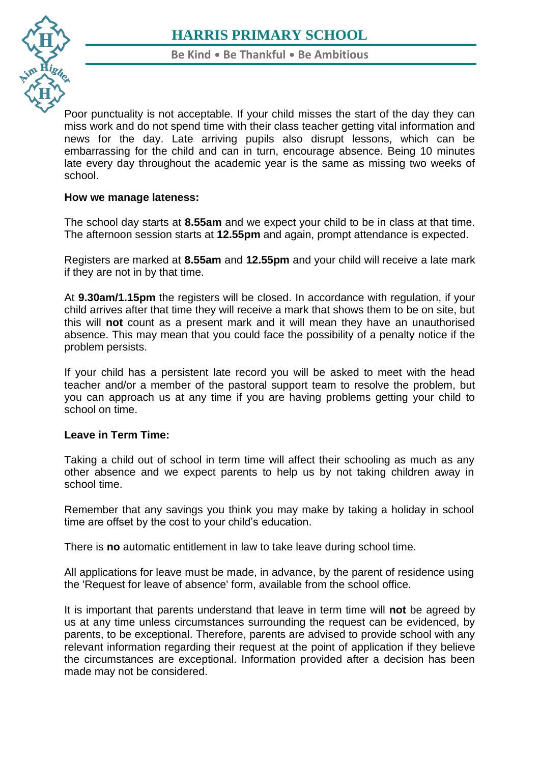

**Be Kind** • **Be Thankful** • **Be Ambitious**

[Poo](https://www.harris.lancs.sch.uk/)r punctuality is not acceptable. If your child misses the start of the day they can [mis](https://www.harris.lancs.sch.uk/contact-details/)s work and do not spend time with their class teacher getting vital information and news for the day. Late arriving pupils also disrupt lessons, which can be embarrassing for the child and can in turn, encourage absence. Being 10 minutes late every day throughout the academic year is the same as missing two weeks of school.

### **How we manage lateness:**

The school day starts at **8.55am** and we expect your child to be in class at that time. The afternoon session starts at **12.55pm** and again, prompt attendance is expected.

Registers are marked at **8.55am** and **12.55pm** and your child will receive a late mark if they are not in by that time.

At **9.30am/1.15pm** the registers will be closed. In accordance with regulation, if your child arrives after that time they will receive a mark that shows them to be on site, but this will **not** count as a present mark and it will mean they have an unauthorised absence. This may mean that you could face the possibility of a penalty notice if the problem persists.

If your child has a persistent late record you will be asked to meet with the head teacher and/or a member of the pastoral support team to resolve the problem, but you can approach us at any time if you are having problems getting your child to school on time.

### **Leave in Term Time:**

Taking a child out of school in term time will affect their schooling as much as any other absence and we expect parents to help us by not taking children away in school time.

Remember that any savings you think you may make by taking a holiday in school time are offset by the cost to your child's education.

There is **no** automatic entitlement in law to take leave during school time.

All applications for leave must be made, in advance, by the parent of residence using the 'Request for leave of absence' form, available from the school office.

It is important that parents understand that leave in term time will **not** be agreed by us at any time unless circumstances surrounding the request can be evidenced, by parents, to be exceptional. Therefore, parents are advised to provide school with any relevant information regarding their request at the point of application if they believe the circumstances are exceptional. Information provided after a decision has been made may not be considered.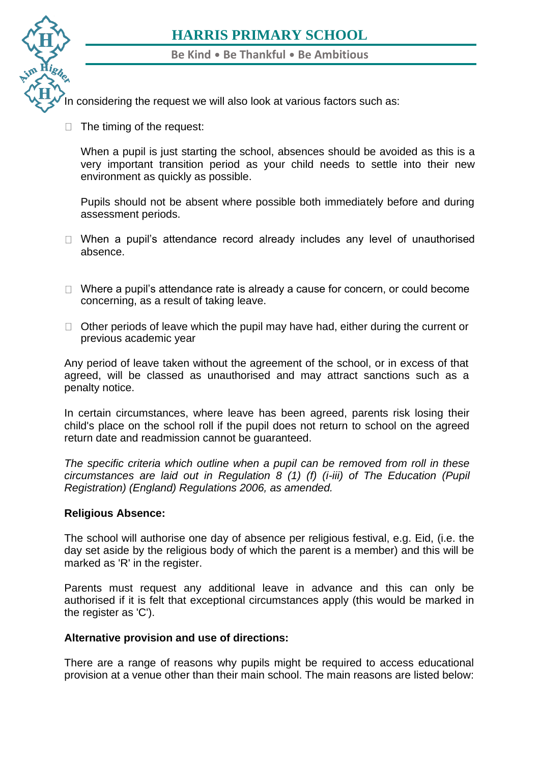**Be Kind** • **Be Thankful** • **Be Ambitious**

[In c](https://www.harris.lancs.sch.uk/)onsidering the request we will also look at various factors such as:

 $\Box$  [T](https://www.harris.lancs.sch.uk/contact-details/)he timing of the request:

When a pupil is just starting the school, absences should be avoided as this is a very important transition period as your child needs to settle into their new environment as quickly as possible.

Pupils should not be absent where possible both immediately before and during assessment periods.

- $\Box$  When a pupil's attendance record already includes any level of unauthorised absence.
- $\Box$  Where a pupil's attendance rate is already a cause for concern, or could become concerning, as a result of taking leave.
- $\Box$  Other periods of leave which the pupil may have had, either during the current or previous academic year

Any period of leave taken without the agreement of the school, or in excess of that agreed, will be classed as unauthorised and may attract sanctions such as a penalty notice.

In certain circumstances, where leave has been agreed, parents risk losing their child's place on the school roll if the pupil does not return to school on the agreed return date and readmission cannot be guaranteed.

*The specific criteria which outline when a pupil can be removed from roll in these circumstances are laid out in Regulation 8 (1) (f) (i-iii) of The Education (Pupil Registration) (England) Regulations 2006, as amended.*

#### **Religious Absence:**

The school will authorise one day of absence per religious festival, e.g. Eid, (i.e. the day set aside by the religious body of which the parent is a member) and this will be marked as 'R' in the register.

Parents must request any additional leave in advance and this can only be authorised if it is felt that exceptional circumstances apply (this would be marked in the register as 'C').

#### **Alternative provision and use of directions:**

There are a range of reasons why pupils might be required to access educational provision at a venue other than their main school. The main reasons are listed below: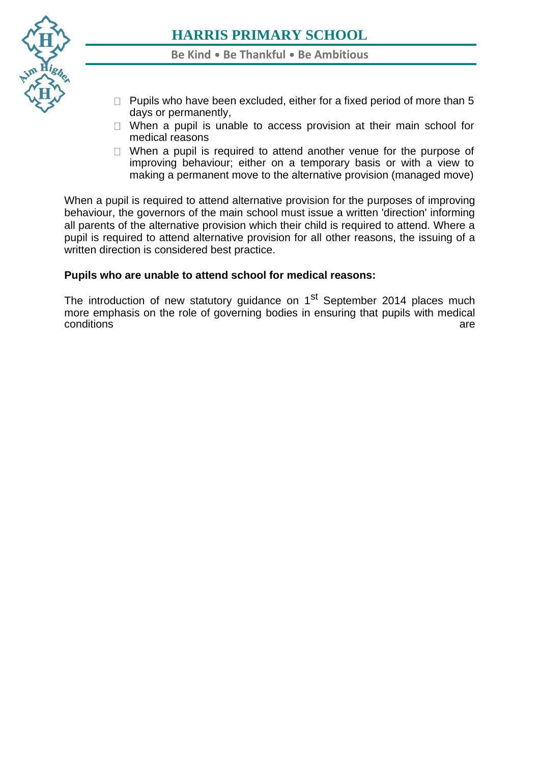

**Be Kind** • **Be Thankful** • **Be Ambitious**

- $\Box$  Pupils who have been excluded, either for a fixed period of more than 5 days or permanently,
- $\Box$  When a pupil is unable to access provision at their main school for medical reasons
- $\Box$  When a pupil is required to attend another venue for the purpose of improving behaviour; either on a temporary basis or with a view to making a permanent move to the alternative provision (managed move)

When a pupil is required to attend alternative provision for the purposes of improving behaviour, the governors of the main school must issue a written 'direction' informing all parents of the alternative provision which their child is required to attend. Where a pupil is required to attend alternative provision for all other reasons, the issuing of a written direction is considered best practice.

### **Pupils who are unable to attend school for medical reasons:**

The introduction of new statutory guidance on 1<sup>st</sup> September 2014 places much more emphasis on the role of governing bodies in ensuring that pupils with medical conditions conditions are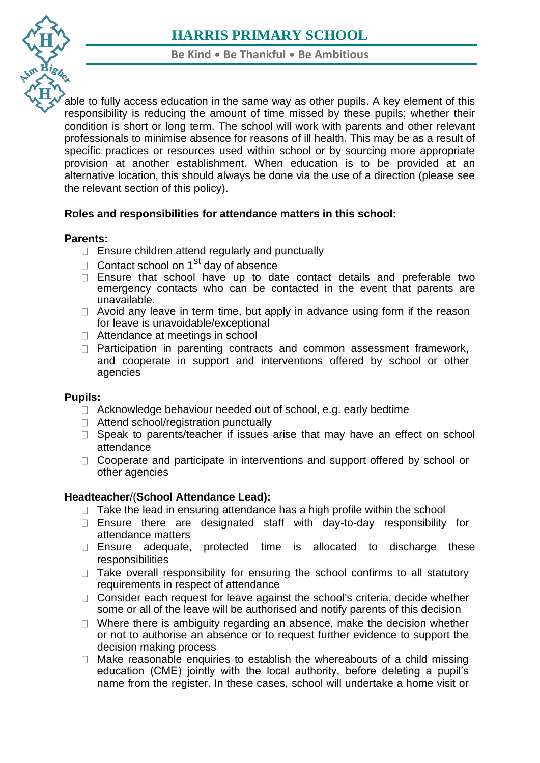

**Be Kind** • **Be Thankful** • **Be Ambitious**

[able](https://www.harris.lancs.sch.uk/) to fully access education in the same way as other pupils. A key element of this responsibility is reducing the amount of time missed by these pupils; whether their [con](https://www.harris.lancs.sch.uk/contact-details/)dition is short or long term. The school will work with parents and other relevant professionals to minimise absence for reasons of ill health. This may be as a result of specific practices or resources used within school or by sourcing more appropriate provision at another establishment. When education is to be provided at an alternative location, this should always be done via the use of a direction (please see the relevant section of this policy).

## **Roles and responsibilities for attendance matters in this school:**

## **Parents:**

- $\Box$  Ensure children attend regularly and punctually
- Contact school on  $1^{st}$  day of absence
- $\Box$  Ensure that school have up to date contact details and preferable two emergency contacts who can be contacted in the event that parents are unavailable.
- $\Box$  Avoid any leave in term time, but apply in advance using form if the reason for leave is unavoidable/exceptional
- □ Attendance at meetings in school
- □ Participation in parenting contracts and common assessment framework, and cooperate in support and interventions offered by school or other agencies

### **Pupils:**

- $\Box$  Acknowledge behaviour needed out of school, e.g. early bedtime
- □ Attend school/registration punctually
- $\Box$  Speak to parents/teacher if issues arise that may have an effect on school attendance
- □ Cooperate and participate in interventions and support offered by school or other agencies

## **Headteacher**/(**School Attendance Lead):**

- $\Box$  Take the lead in ensuring attendance has a high profile within the school
- $\Box$  Ensure there are designated staff with day-to-day responsibility for attendance matters
- $\Box$  Ensure adequate, protected time is allocated to discharge these responsibilities
- $\Box$  Take overall responsibility for ensuring the school confirms to all statutory requirements in respect of attendance
- $\Box$  Consider each request for leave against the school's criteria, decide whether some or all of the leave will be authorised and notify parents of this decision
- $\Box$  Where there is ambiguity regarding an absence, make the decision whether or not to authorise an absence or to request further evidence to support the decision making process
- $\Box$  Make reasonable enquiries to establish the whereabouts of a child missing education (CME) jointly with the local authority, before deleting a pupil's name from the register. In these cases, school will undertake a home visit or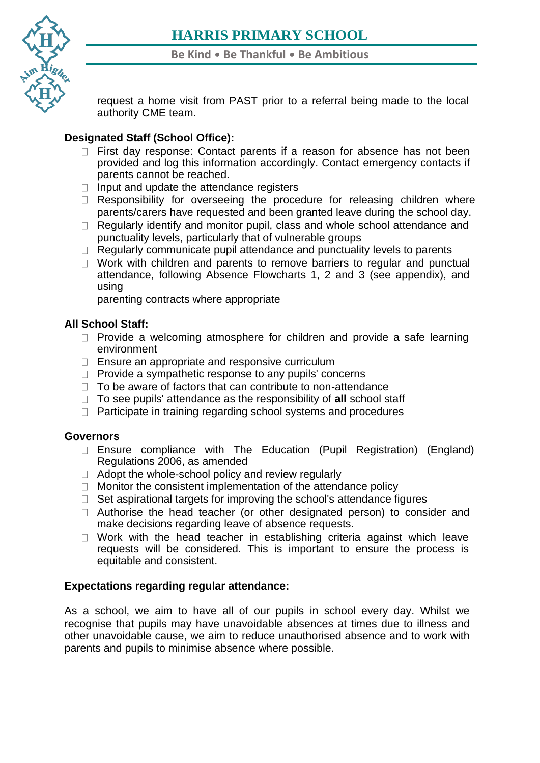

request a home visit from PAST prior to a referral being made to the local authority CME team.

## **[Des](https://www.harris.lancs.sch.uk/contact-details/)ignated Staff (School Office):**

- $\Box$  First day response: Contact parents if a reason for absence has not been provided and log this information accordingly. Contact emergency contacts if parents cannot be reached.
- $\Box$  Input and update the attendance registers
- $\Box$  Responsibility for overseeing the procedure for releasing children where parents/carers have requested and been granted leave during the school day.
- $\Box$  Regularly identify and monitor pupil, class and whole school attendance and punctuality levels, particularly that of vulnerable groups
- $\Box$  Regularly communicate pupil attendance and punctuality levels to parents
- $\Box$  Work with children and parents to remove barriers to regular and punctual attendance, following Absence Flowcharts 1, 2 and 3 (see appendix), and using

parenting contracts where appropriate

## **All School Staff:**

- $\Box$  Provide a welcoming atmosphere for children and provide a safe learning environment
- $\Box$  Ensure an appropriate and responsive curriculum
- $\Box$  Provide a sympathetic response to any pupils' concerns
- $\Box$  To be aware of factors that can contribute to non-attendance
- To see pupils' attendance as the responsibility of **all** school staff
- $\Box$  Participate in training regarding school systems and procedures

### **Governors**

- $\Box$  Ensure compliance with The Education (Pupil Registration) (England) Regulations 2006, as amended
- $\Box$  Adopt the whole-school policy and review regularly
- $\Box$  Monitor the consistent implementation of the attendance policy
- $\Box$  Set aspirational targets for improving the school's attendance figures
- $\Box$  Authorise the head teacher (or other designated person) to consider and make decisions regarding leave of absence requests.
- $\Box$  Work with the head teacher in establishing criteria against which leave requests will be considered. This is important to ensure the process is equitable and consistent.

## **Expectations regarding regular attendance:**

As a school, we aim to have all of our pupils in school every day. Whilst we recognise that pupils may have unavoidable absences at times due to illness and other unavoidable cause, we aim to reduce unauthorised absence and to work with parents and pupils to minimise absence where possible.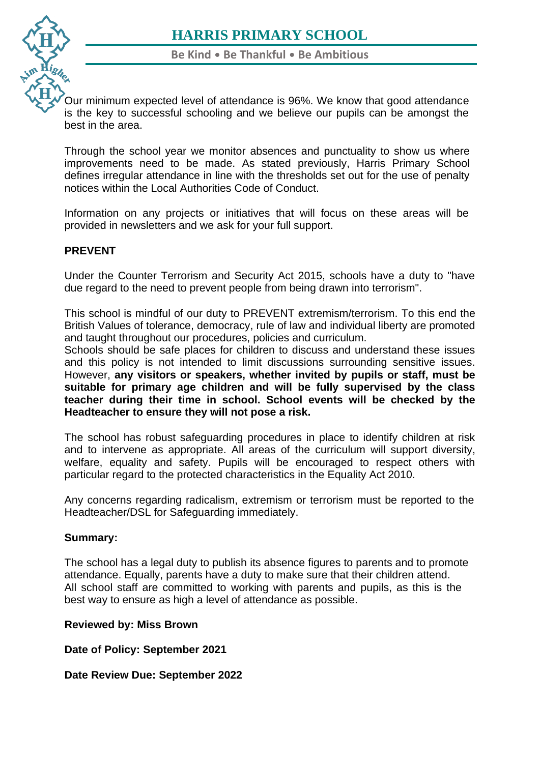

[Our](https://www.harris.lancs.sch.uk/) minimum expected level of attendance is 96%. We know that good attendance is the key to successful schooling and we believe our pupils can be amongst the [bes](https://www.harris.lancs.sch.uk/contact-details/)t in the area.

Through the school year we monitor absences and punctuality to show us where improvements need to be made. As stated previously, Harris Primary School defines irregular attendance in line with the thresholds set out for the use of penalty notices within the Local Authorities Code of Conduct.

Information on any projects or initiatives that will focus on these areas will be provided in newsletters and we ask for your full support.

## **PREVENT**

Under the Counter Terrorism and Security Act 2015, schools have a duty to "have due regard to the need to prevent people from being drawn into terrorism".

This school is mindful of our duty to PREVENT extremism/terrorism. To this end the British Values of tolerance, democracy, rule of law and individual liberty are promoted and taught throughout our procedures, policies and curriculum.

Schools should be safe places for children to discuss and understand these issues and this policy is not intended to limit discussions surrounding sensitive issues. However, **any visitors or speakers, whether invited by pupils or staff, must be suitable for primary age children and will be fully supervised by the class teacher during their time in school. School events will be checked by the Headteacher to ensure they will not pose a risk.**

The school has robust safeguarding procedures in place to identify children at risk and to intervene as appropriate. All areas of the curriculum will support diversity, welfare, equality and safety. Pupils will be encouraged to respect others with particular regard to the protected characteristics in the Equality Act 2010.

Any concerns regarding radicalism, extremism or terrorism must be reported to the Headteacher/DSL for Safeguarding immediately.

### **Summary:**

The school has a legal duty to publish its absence figures to parents and to promote attendance. Equally, parents have a duty to make sure that their children attend. All school staff are committed to working with parents and pupils, as this is the best way to ensure as high a level of attendance as possible.

### **Reviewed by: Miss Brown**

**Date of Policy: September 2021**

**Date Review Due: September 2022**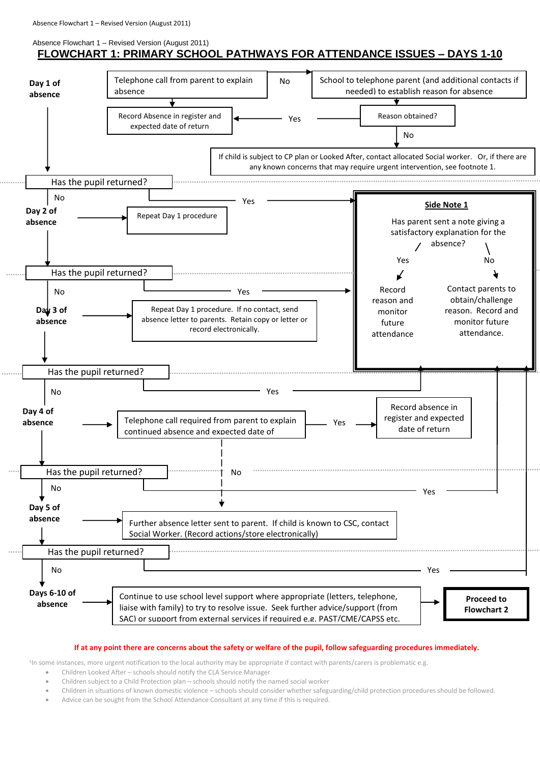#### Absence Flowchart 1 – Revised Version (August 2011)

## **FLOWCHART 1: PRIMARY SCHOOL PATHWAYS FOR ATTENDANCE ISSUES – DAYS 1-10**



#### **If at any point there are concerns about the safety or welfare of the pupil, follow safeguarding procedures immediately.**

<sup>1</sup>In some instances, more urgent notification to the local authority may be appropriate if contact with parents/carers is problematic e.g.

- Children Looked After schools should notify the CLA Service Manager
- Children subject to a Child Protection plan schools should notify the named social worker
- Children in situations of known domestic violence schools should consider whether safeguarding/child protection procedures should be followed.
- Advice can be sought from the School Attendance Consultant at any time if this is required.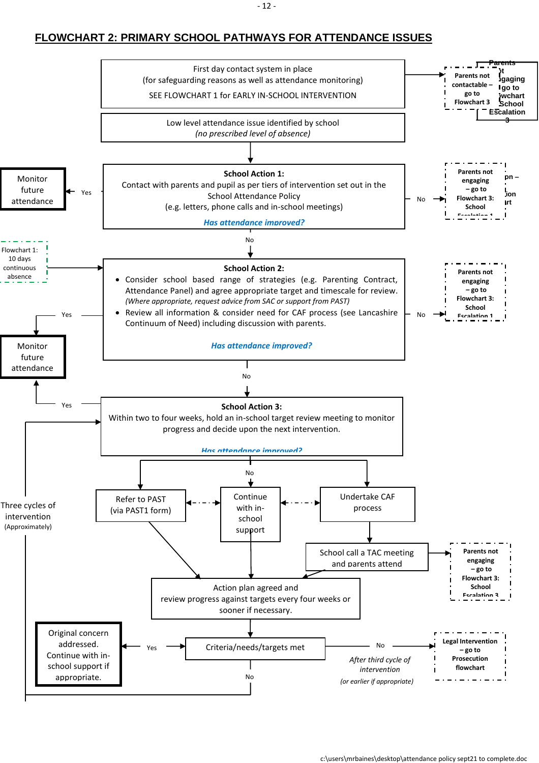## **FLOWCHART 2: PRIMARY SCHOOL PATHWAYS FOR ATTENDANCE ISSUES**